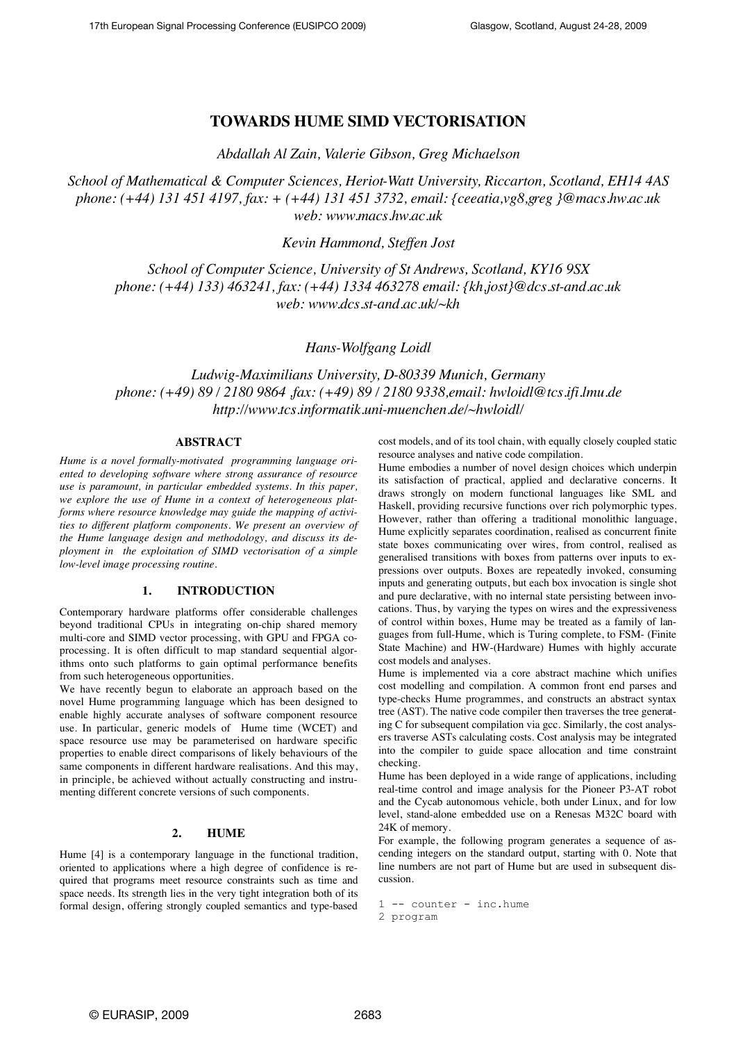# **TOWARDS HUME SIMD VECTORISATION**

*Abdallah Al Zain, Valerie Gibson, Greg Michaelson* 

*School of Mathematical & Computer Sciences, Heriot-Watt University, Riccarton, Scotland, EH14 4AS phone: (+44) 131 451 4197, fax: + (+44) 131 451 3732, email: {ceeatia,vg8,greg }@macs.hw.ac.uk web: www.macs.hw.ac.uk*

*Kevin Hammond, Steffen Jost*

*School of Computer Science, University of St Andrews, Scotland, KY16 9SX phone: (+44) 133) 463241, fax: (+44) 1334 463278 email: {kh,jost}@dcs.st-and.ac.uk web: www.dcs.st-and.ac.uk/~kh*

# *Hans-Wolfgang Loidl*

*Ludwig-Maximilians University, D-80339 Munich, Germany phone: (+49) 89 / 2180 9864 ,fax: (+49) 89 / 2180 9338,email: hwloidl@tcs.ifi.lmu.de http://www.tcs.informatik.uni-muenchen.de/~hwloidl/*

#### **ABSTRACT**

*Hume is a novel formally-motivated programming language oriented to developing software where strong assurance of resource use is paramount, in particular embedded systems. In this paper, we explore the use of Hume in a context of heterogeneous platforms where resource knowledge may guide the mapping of activities to different platform components. We present an overview of the Hume language design and methodology, and discuss its deployment in the exploitation of SIMD vectorisation of a simple low-level image processing routine.*

## **1. INTRODUCTION**

Contemporary hardware platforms offer considerable challenges beyond traditional CPUs in integrating on-chip shared memory multi-core and SIMD vector processing, with GPU and FPGA coprocessing. It is often difficult to map standard sequential algorithms onto such platforms to gain optimal performance benefits from such heterogeneous opportunities.

We have recently begun to elaborate an approach based on the novel Hume programming language which has been designed to enable highly accurate analyses of software component resource use. In particular, generic models of Hume time (WCET) and space resource use may be parameterised on hardware specific properties to enable direct comparisons of likely behaviours of the same components in different hardware realisations. And this may, in principle, be achieved without actually constructing and instrumenting different concrete versions of such components.

#### **2. HUME**

Hume [4] is a contemporary language in the functional tradition, oriented to applications where a high degree of confidence is required that programs meet resource constraints such as time and space needs. Its strength lies in the very tight integration both of its formal design, offering strongly coupled semantics and type-based

cost models, and of its tool chain, with equally closely coupled static resource analyses and native code compilation.

Hume embodies a number of novel design choices which underpin its satisfaction of practical, applied and declarative concerns. It draws strongly on modern functional languages like SML and Haskell, providing recursive functions over rich polymorphic types. However, rather than offering a traditional monolithic language, Hume explicitly separates coordination, realised as concurrent finite state boxes communicating over wires, from control, realised as generalised transitions with boxes from patterns over inputs to expressions over outputs. Boxes are repeatedly invoked, consuming inputs and generating outputs, but each box invocation is single shot and pure declarative, with no internal state persisting between invocations. Thus, by varying the types on wires and the expressiveness of control within boxes, Hume may be treated as a family of languages from full-Hume, which is Turing complete, to FSM- (Finite State Machine) and HW-(Hardware) Humes with highly accurate cost models and analyses.

Hume is implemented via a core abstract machine which unifies cost modelling and compilation. A common front end parses and type-checks Hume programmes, and constructs an abstract syntax tree (AST). The native code compiler then traverses the tree generating C for subsequent compilation via gcc. Similarly, the cost analysers traverse ASTs calculating costs. Cost analysis may be integrated into the compiler to guide space allocation and time constraint checking.

Hume has been deployed in a wide range of applications, including real-time control and image analysis for the Pioneer P3-AT robot and the Cycab autonomous vehicle, both under Linux, and for low level, stand-alone embedded use on a Renesas M32C board with 24K of memory.

For example, the following program generates a sequence of ascending integers on the standard output, starting with 0. Note that line numbers are not part of Hume but are used in subsequent discussion.

1 -- counter - inc.hume 2 program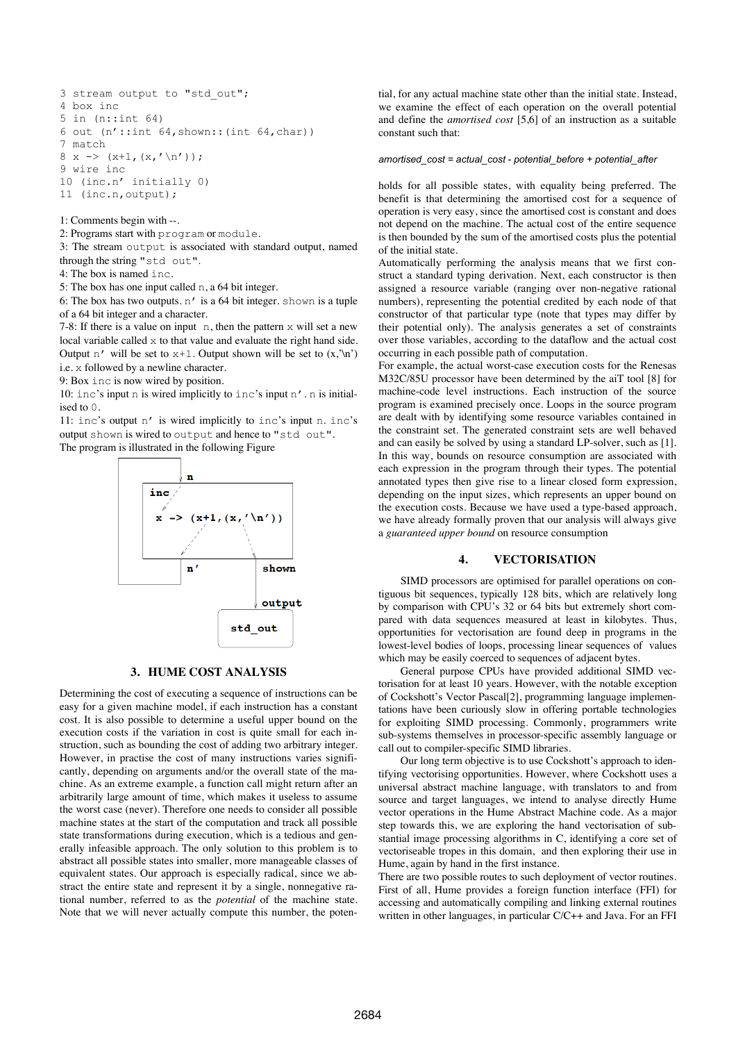```
3 stream output to "std out";
4 box inc
5 in (n::int 64)
6 out (n':int 64, shown::(int 64, char))7 match
8 x -> (x+1, (x, ' \n\cdot);
9 wire inc
10 (inc.n' initially 0)
11 (inc.n,output);
```
1: Comments begin with --.

2: Programs start with program or module.

3: The stream output is associated with standard output, named through the string "std out".

4: The box is named inc.

5: The box has one input called n, a 64 bit integer.

6: The box has two outputs.  $n'$  is a 64 bit integer. shown is a tuple of a 64 bit integer and a character.

7-8: If there is a value on input n, then the pattern x will set a new local variable called x to that value and evaluate the right hand side. Output n' will be set to  $x+1$ . Output shown will be set to  $(x, \ln)$ i.e. x followed by a newline character.

9: Box inc is now wired by position.

10: inc's input n is wired implicitly to inc's input n'. n is initialised to 0.

11: inc's output n' is wired implicitly to inc's input n. inc's output shown is wired to output and hence to "std out". The program is illustrated in the following Figure



### **3. HUME COST ANALYSIS**

Determining the cost of executing a sequence of instructions can be easy for a given machine model, if each instruction has a constant cost. It is also possible to determine a useful upper bound on the execution costs if the variation in cost is quite small for each instruction, such as bounding the cost of adding two arbitrary integer. However, in practise the cost of many instructions varies significantly, depending on arguments and/or the overall state of the machine. As an extreme example, a function call might return after an arbitrarily large amount of time, which makes it useless to assume the worst case (never). Therefore one needs to consider all possible machine states at the start of the computation and track all possible state transformations during execution, which is a tedious and generally infeasible approach. The only solution to this problem is to abstract all possible states into smaller, more manageable classes of equivalent states. Our approach is especially radical, since we abstract the entire state and represent it by a single, nonnegative rational number, referred to as the *potential* of the machine state. Note that we will never actually compute this number, the potential, for any actual machine state other than the initial state. Instead, we examine the effect of each operation on the overall potential and define the *amortised cost* [5,6] of an instruction as a suitable constant such that:

#### *amortised\_cost = actual\_cost - potential\_before + potential\_after*

holds for all possible states, with equality being preferred. The benefit is that determining the amortised cost for a sequence of operation is very easy, since the amortised cost is constant and does not depend on the machine. The actual cost of the entire sequence is then bounded by the sum of the amortised costs plus the potential of the initial state.

Automatically performing the analysis means that we first construct a standard typing derivation. Next, each constructor is then assigned a resource variable (ranging over non-negative rational numbers), representing the potential credited by each node of that constructor of that particular type (note that types may differ by their potential only). The analysis generates a set of constraints over those variables, according to the dataflow and the actual cost occurring in each possible path of computation.

For example, the actual worst-case execution costs for the Renesas M32C/85U processor have been determined by the aiT tool [8] for machine-code level instructions. Each instruction of the source program is examined precisely once. Loops in the source program are dealt with by identifying some resource variables contained in the constraint set. The generated constraint sets are well behaved and can easily be solved by using a standard LP-solver, such as [1]. In this way, bounds on resource consumption are associated with each expression in the program through their types. The potential annotated types then give rise to a linear closed form expression, depending on the input sizes, which represents an upper bound on the execution costs. Because we have used a type-based approach, we have already formally proven that our analysis will always give a *guaranteed upper bound* on resource consumption

#### **4. VECTORISATION**

SIMD processors are optimised for parallel operations on contiguous bit sequences, typically 128 bits, which are relatively long by comparison with CPU's 32 or 64 bits but extremely short compared with data sequences measured at least in kilobytes. Thus, opportunities for vectorisation are found deep in programs in the lowest-level bodies of loops, processing linear sequences of values which may be easily coerced to sequences of adjacent bytes.

General purpose CPUs have provided additional SIMD vectorisation for at least 10 years. However, with the notable exception of Cockshott's Vector Pascal[2], programming language implementations have been curiously slow in offering portable technologies for exploiting SIMD processing. Commonly, programmers write sub-systems themselves in processor-specific assembly language or call out to compiler-specific SIMD libraries.

Our long term objective is to use Cockshott's approach to identifying vectorising opportunities. However, where Cockshott uses a universal abstract machine language, with translators to and from source and target languages, we intend to analyse directly Hume vector operations in the Hume Abstract Machine code. As a major step towards this, we are exploring the hand vectorisation of substantial image processing algorithms in C, identifying a core set of vectoriseable tropes in this domain, and then exploring their use in Hume, again by hand in the first instance.

There are two possible routes to such deployment of vector routines. First of all, Hume provides a foreign function interface (FFI) for accessing and automatically compiling and linking external routines written in other languages, in particular C/C++ and Java. For an FFI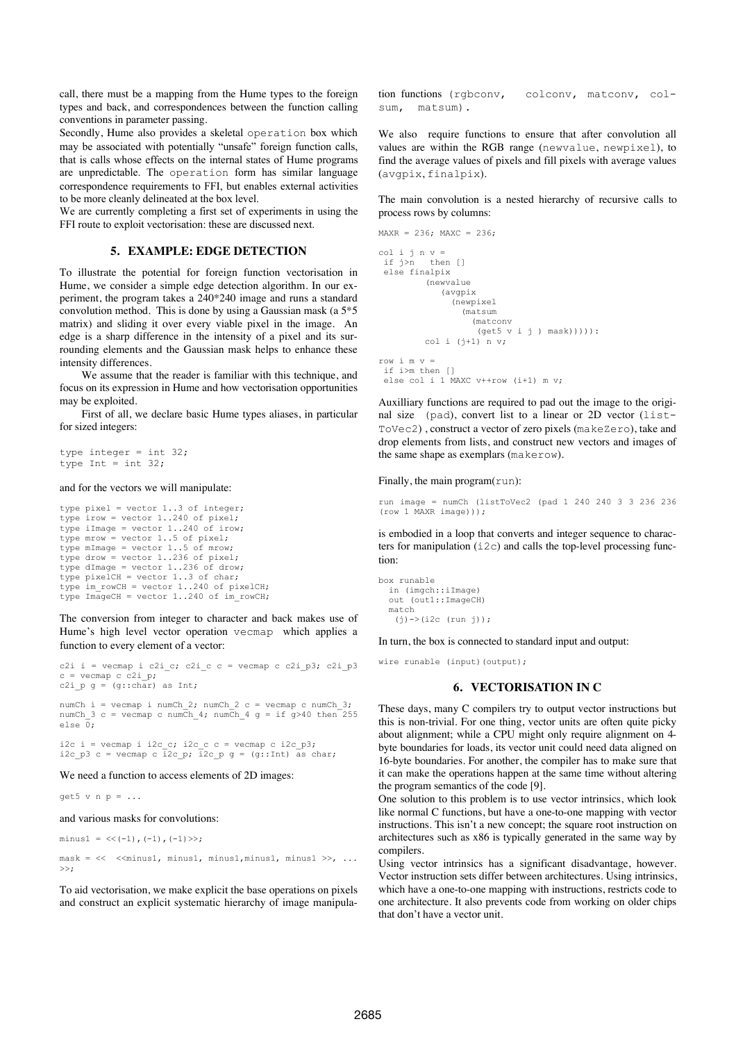call, there must be a mapping from the Hume types to the foreign types and back, and correspondences between the function calling conventions in parameter passing.

Secondly, Hume also provides a skeletal operation box which may be associated with potentially "unsafe" foreign function calls, that is calls whose effects on the internal states of Hume programs are unpredictable. The operation form has similar language correspondence requirements to FFI, but enables external activities to be more cleanly delineated at the box level.

We are currently completing a first set of experiments in using the FFI route to exploit vectorisation: these are discussed next.

### **5. EXAMPLE: EDGE DETECTION**

To illustrate the potential for foreign function vectorisation in Hume, we consider a simple edge detection algorithm. In our experiment, the program takes a 240\*240 image and runs a standard convolution method. This is done by using a Gaussian mask (a 5\*5 matrix) and sliding it over every viable pixel in the image. An edge is a sharp difference in the intensity of a pixel and its surrounding elements and the Gaussian mask helps to enhance these intensity differences.

We assume that the reader is familiar with this technique, and focus on its expression in Hume and how vectorisation opportunities may be exploited.

First of all, we declare basic Hume types aliases, in particular for sized integers:

type integer = int  $32$ ; type Int =  $int 32$ ;

#### and for the vectors we will manipulate:

```
type pixel = vector 1..3 of integer;
type irow = vector 1..240 of pixel;
type iImage = vector 1..240 of irow;
type mrow = vector 1..5 of pixel;
type mImage = vector 1..5 of mrow;
type drow = vector 1..236 of pixel;
type dImage = vector 1..236 of drow;
type pixelCH = vector 1..3 of char;
type im rowCH = vector 1..240 of pixelCH;
type ImageCH = vector 1.240 of im rowCH;
```
The conversion from integer to character and back makes use of Hume's high level vector operation vecmap which applies a function to every element of a vector:

c2i i = vecmap i c2i\_c; c2i\_c c = vecmap c c2i\_p3; c2i\_p3  $c = vemap c c2i_p;$ c2i\_p  $g = (g::char)$  as Int;

numCh i = vecmap i numCh 2; numCh 2 c = vecmap c numCh 3; numCh\_3 c = vecmap c numCh\_4; numCh\_4 g = if  $g > 40$  then 255 else  $\overline{0}$ ;

i2c i = vecmap i i2c\_c; i2c\_c c = vecmap c i2c\_p3; i2c\_p3 c = vecmap c i2c\_p; i2c\_p g = (g::Int) as char;

We need a function to access elements of 2D images:

 $\alpha$ et5 v n n =

and various masks for convolutions:

 $minus1 = \langle \langle (-1), (-1), (-1) \rangle \rangle;$ 

 $mask = \langle\langle$   $\langle$   $\langle$   $\text{minus1}, \text{minus1}, \text{minus1}, \text{minus1} \rangle$ , ...  $>>:$ 

To aid vectorisation, we make explicit the base operations on pixels and construct an explicit systematic hierarchy of image manipulation functions (rgbconv, colconv, matconv, colsum, matsum).

We also require functions to ensure that after convolution all values are within the RGB range (newvalue, newpixel), to find the average values of pixels and fill pixels with average values (avgpix, finalpix).

The main convolution is a nested hierarchy of recursive calls to process rows by columns:

```
MAXR = 236; MAXC = 236;col i j n v = if j>n then []
  else finalpix
          (newvalue 
              (avgpix 
                (newpixel 
                   (matsum 
                     (matconv 
                      (get5 v i j ) mask))))):
         col i (j+1) n v;
row i m v =
 if i>m then []
  else col i 1 MAXC v++row (i+1) m v;
```
Auxilliary functions are required to pad out the image to the original size (pad), convert list to a linear or 2D vector (list-ToVec2) , construct a vector of zero pixels (makeZero), take and drop elements from lists, and construct new vectors and images of the same shape as exemplars (makerow).

Finally, the main program(run):

run image = numCh (listToVec2 (pad 1 240 240 3 3 236 236 (row 1 MAXR image)));

is embodied in a loop that converts and integer sequence to characters for manipulation  $(i2c)$  and calls the top-level processing function:

```
box runable
   in (imgch::iImage)
   out (out1::ImageCH)
   match
   (j) \rightarrow (i2c (run j));
```
In turn, the box is connected to standard input and output:

wire runable (input)(output);

#### **6. VECTORISATION IN C**

These days, many C compilers try to output vector instructions but this is non-trivial. For one thing, vector units are often quite picky about alignment; while a CPU might only require alignment on 4 byte boundaries for loads, its vector unit could need data aligned on 16-byte boundaries. For another, the compiler has to make sure that it can make the operations happen at the same time without altering the program semantics of the code [9].

One solution to this problem is to use vector intrinsics, which look like normal C functions, but have a one-to-one mapping with vector instructions. This isn't a new concept; the square root instruction on architectures such as x86 is typically generated in the same way by compilers.

Using vector intrinsics has a significant disadvantage, however. Vector instruction sets differ between architectures. Using intrinsics, which have a one-to-one mapping with instructions, restricts code to one architecture. It also prevents code from working on older chips that don't have a vector unit.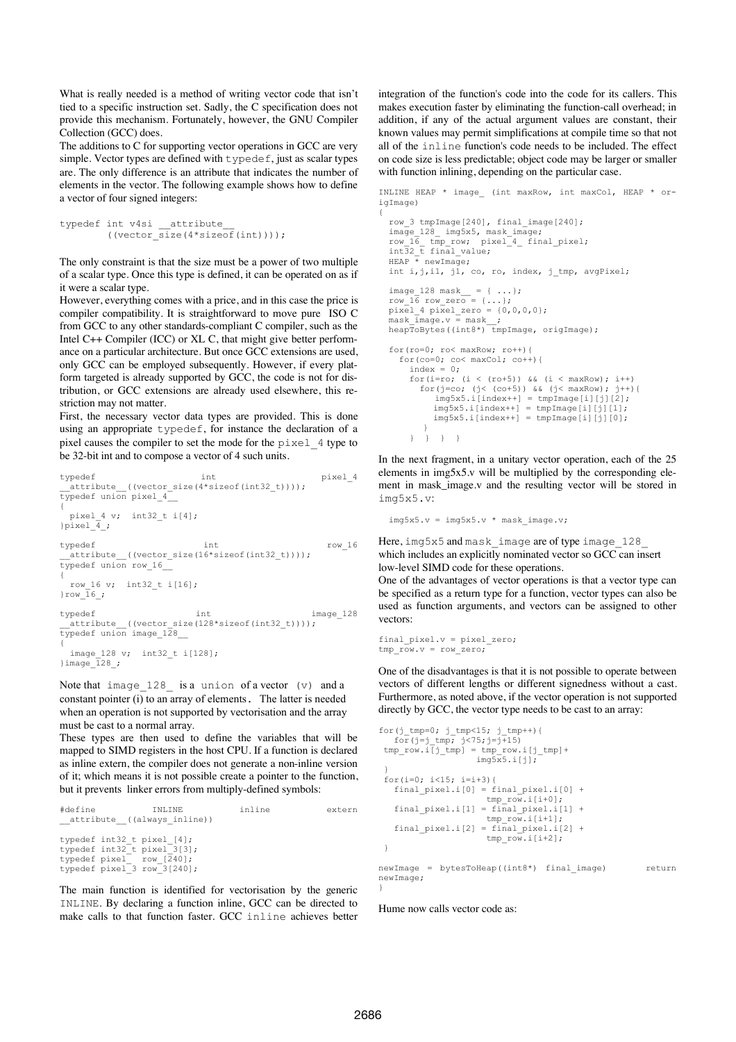What is really needed is a method of writing vector code that isn't tied to a specific instruction set. Sadly, the C specification does not provide this mechanism. Fortunately, however, the GNU Compiler Collection (GCC) does.

The additions to C for supporting vector operations in GCC are very simple. Vector types are defined with typedef, just as scalar types are. The only difference is an attribute that indicates the number of elements in the vector. The following example shows how to define a vector of four signed integers:

```
typedef int v4si __attribute
             ((vector \overline{\text{size}}(4*\text{sizeof}(\text{int}))));
```
The only constraint is that the size must be a power of two multiple of a scalar type. Once this type is defined, it can be operated on as if it were a scalar type.

However, everything comes with a price, and in this case the price is compiler compatibility. It is straightforward to move pure ISO C from GCC to any other standards-compliant C compiler, such as the Intel C++ Compiler (ICC) or XL C, that might give better performance on a particular architecture. But once GCC extensions are used, only GCC can be employed subsequently. However, if every platform targeted is already supported by GCC, the code is not for distribution, or GCC extensions are already used elsewhere, this restriction may not matter.

First, the necessary vector data types are provided. This is done using an appropriate typedef, for instance the declaration of a pixel causes the compiler to set the mode for the pixel\_4 type to be 32-bit int and to compose a vector of 4 such units.

```
typedef int pixel_4<br>attribute ((vector_size(4*sizeof(int32_t))));
           ((vector size(4*size of(int32 t))));
typedef union pixel 4^-{
pixel_4 v; int32_t i[4];<br>}pixel 4;
typedef int row_16
 .<br>_attribute__((vector_size(16*sizeof(int32_t))));
typedef union row_16__
{
 row 16 v; int32 t i[16];
}row 16;
typedef int int image 128
 _attribute__((vector_size(128*sizeof(int32_t))));
typedef union image_128__
{
  image 128 v; int32 t i[128];
}image \overline{1}28;
```
Note that image  $128$  is a union of a vector (v) and a constant pointer (i) to an array of elements. The latter is needed when an operation is not supported by vectorisation and the array must be cast to a normal array.

These types are then used to define the variables that will be mapped to SIMD registers in the host CPU. If a function is declared as inline extern, the compiler does not generate a non-inline version of it; which means it is not possible create a pointer to the function, but it prevents linker errors from multiply-defined symbols:

| inline<br>#define<br>INLINE                                                                                          | extern |
|----------------------------------------------------------------------------------------------------------------------|--------|
| __attribute_((always inline))                                                                                        |        |
| typedef int32 t pixel [4];<br>typedef int32 t pixel 3[3];<br>typedef pixel row [240];<br>typedef pixel 3 row 3[240]; |        |

The main function is identified for vectorisation by the generic INLINE. By declaring a function inline, GCC can be directed to make calls to that function faster. GCC inline achieves better

integration of the function's code into the code for its callers. This makes execution faster by eliminating the function-call overhead; in addition, if any of the actual argument values are constant, their known values may permit simplifications at compile time so that not all of the inline function's code needs to be included. The effect on code size is less predictable; object code may be larger or smaller with function inlining, depending on the particular case.

INLINE HEAP \* image (int maxRow, int maxCol, HEAP \* origImage) {

```
row 3 tmpImage[240], final image[240];
   image_128_ img5x5, mask_image;
   row_16_ tmp_row; pixel_4_ final_pixel; 
 int32_t final_value;
 HEAP * newImage;
  int i, j, i1, j1, co, ro, index, jtmp, avgpixel;image_128 mask_ = { \dots };row_16 row_zero = \{ \ldots \};<br>pixel 4 pixel zero = \{0,0,0,0\};
  \overline{\text{mask}} \overline{\text{image}}.\overline{\text{v}} = mask ;
  heapToBytes((int8*) tmpImage, origImage);
   for(ro=0; ro< maxRow; ro++){
     for(co=0; co< maxCol; co++){
      index = 0:
       for(i=ro; (i < (ro+5)) & (i < maxRow); i++)
         for(j=co; (j< (co+5)) && (j< maxRow); j++){
            img5x5.i[index++] = tmpImage[i][j][2];img5x5.i[index++] = tmpImage[i][j][1];img5x5.i[index++] = tmpImage[i][j][0];}
       } } } }
```
In the next fragment, in a unitary vector operation, each of the 25 elements in img5x5.v will be multiplied by the corresponding element in mask\_image.v and the resulting vector will be stored in img5x5.v:

 $img5x5.v = img5x5.v * mask\_image.v;$ 

Here, img5x5 and mask image are of type image 128 which includes an explicitly nominated vector so GCC can insert low-level SIMD code for these operations.

One of the advantages of vector operations is that a vector type can be specified as a return type for a function, vector types can also be used as function arguments, and vectors can be assigned to other vectors:

```
final pixel.v = pixel zero;
tmp row.v = row zero;
```
One of the disadvantages is that it is not possible to operate between vectors of different lengths or different signedness without a cast. Furthermore, as noted above, if the vector operation is not supported directly by GCC, the vector type needs to be cast to an array:

```
for(j_tmp=0; j_tmp<15; j_tmp++){
  for (j=j_{\text{imp}}; j < 75; j = j + 15)tmp\_row.i[j\_tmp] = tmp\_row.i[j\_tmp] +img5x5.i[j]; }
 for(i=0; i<15; i=i+3){
  final\_pixel.i[0] = final\_pixel.i[0] +tmp row.i[i+0];final pixel.i[1] = final pixel.i[1]
                      tmp row.i[i+1]; final_pixel.i[2] = final_pixel.i[2] + 
                       tmp_row.i[i+2];
 }
```
newImage = bytesToHeap((int8\*) final\_image) return newImage; }

Hume now calls vector code as: